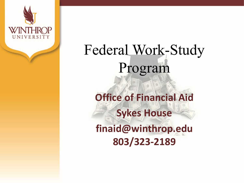

# Federal Work-Study Program

**Office of Financial Aid Sykes House finaid@winthrop.edu 803/323-2189**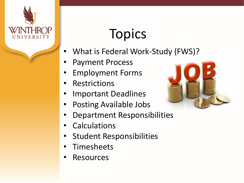

# **Topics**

- What is Federal Work-Study (FWS)?
- Payment Process
- Employment Forms
- **Restrictions**
- Important Deadlines
- Posting Available Jobs
- Department Responsibilities
- **Calculations**
- Student Responsibilities
- **Timesheets**
- **Resources**

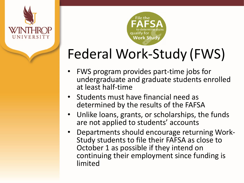



# Federal Work-Study (FWS)

- FWS program provides part-time jobs for undergraduate and graduate students enrolled at least half-time
- Students must have financial need as determined by the results of the FAFSA
- Unlike loans, grants, or scholarships, the funds are not applied to students' accounts
- Departments should encourage returning Work- Study students to file their FAFSA as close to October 1 as possible if they intend on continuing their employment since funding is limited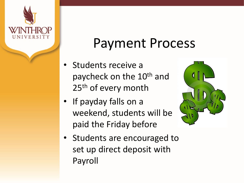

#### Payment Process

- Students receive a paycheck on the 10<sup>th</sup> and 25<sup>th</sup> of every month
- If payday falls on a weekend, students will be paid the Friday before



Students are encouraged to set up direct deposit with Payroll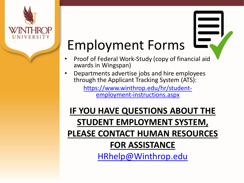

# Employment Forms

- Proof of Federal Work-Study (copy of financial aid awards in Wingspan)
- Departments advertise jobs and hire employees through the Applicant Tracking System (ATS):

[https://www.winthrop.edu/hr/student-](https://www.winthrop.edu/hr/student-employment-instructions.aspx) employment-instructions.aspx

#### **IF YOU HAVE QUESTIONS ABOUT THE STUDENT EMPLOYMENT SYSTEM, PLEASE CONTACT HUMAN RESOURCES FOR ASSISTANCE** [HRhelp@Winthrop.edu](mailto:hrhelp@winthrop.edu)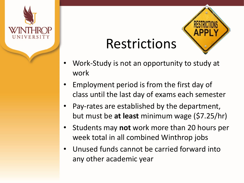

#### Restrictions



- Work-Study is not an opportunity to study at work
- Employment period is from the first day of class until the last day of exams each semester
- Pay-rates are established by the department, but must be **at least** minimum wage (\$7.25/hr)
- Students may **not** work more than 20 hours per week total in all combined Winthrop jobs
- Unused funds cannot be carried forward into any other academic year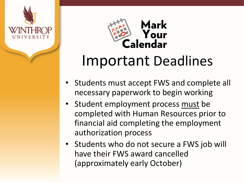



### Important Deadlines

- Students must accept FWS and complete all necessary paperwork to begin working
- Student employment process must be completed with Human Resources prior to financial aid completing the employment authorization process
- Students who do not secure a FWS job will have their FWS award cancelled (approximately early October)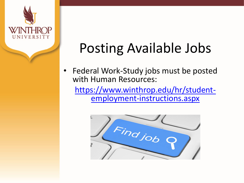

## Posting Available Jobs

Federal Work-Study jobs must be posted with Human Resources:

[https://www.winthrop.edu/hr/student-](https://www.winthrop.edu/hr/student-employment-instructions.aspx) employment-instructions.aspx

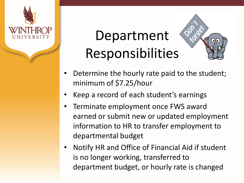

# Department Responsibilities



- Determine the hourly rate paid to the student; minimum of \$7.25/hour
- Keep a record of each student's earnings
- Terminate employment once FWS award earned or submit new or updated employment information to HR to transfer employment to departmental budget
- Notify HR and Office of Financial Aid if student is no longer working, transferred to department budget, or hourly rate is changed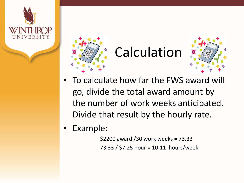



# Calculation



- To calculate how far the FWS award will go, divide the total award amount by the number of work weeks anticipated. Divide that result by the hourly rate.
- Example:

\$2200 award /30 work weeks = 73.33 73.33 / \$7.25 hour = 10.11 hours/week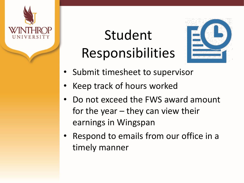

# Student Responsibilities



- Submit timesheet to supervisor
- Keep track of hours worked
- Do not exceed the FWS award amount for the year – they can view their earnings in Wingspan
- Respond to emails from our office in a timely manner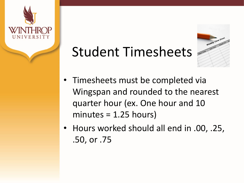

# Student Timesheets



- Timesheets must be completed via Wingspan and rounded to the nearest quarter hour (ex. One hour and 10 minutes = 1.25 hours)
- Hours worked should all end in .00, .25, .50, or .75